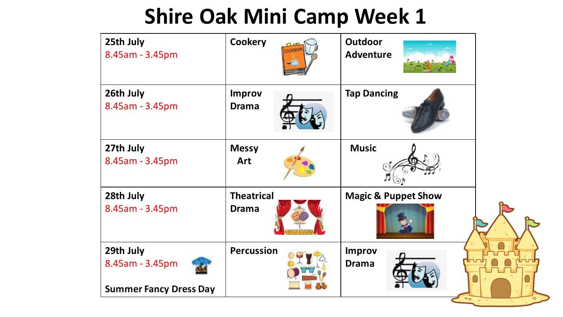| 25th July<br>8.45am - 3.45pm                                  | <b>Cookery</b>                    | <b>Outdoor</b><br><b>Adventure</b>          |  |
|---------------------------------------------------------------|-----------------------------------|---------------------------------------------|--|
| 26th July<br>8.45am - 3.45pm                                  | <b>Improv</b><br><b>Drama</b>     | <b>Tap Dancing</b>                          |  |
| 27th July<br>8.45am - 3.45pm                                  | <b>Messy</b><br>Art               | <b>Music</b><br>$\mathfrak{g}_{\mathbb{C}}$ |  |
| 28th July<br>8.45am - 3.45pm                                  | <b>Theatrical</b><br><b>Drama</b> | <b>Magic &amp; Puppet Show</b>              |  |
| 29th July<br>8.45am - 3.45pm<br><b>Summer Fancy Dress Day</b> | <b>Percussion</b>                 | <b>Improv</b><br><b>Drama</b><br>$\circ$ o  |  |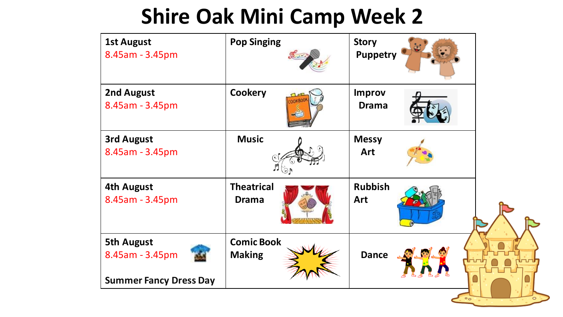| 2nd August<br><b>Cookery</b><br><b>Improv</b><br>8.45am - 3.45pm<br><b>Drama</b><br><b>Music</b><br><b>3rd August</b><br><b>Messy</b><br>Art<br>8.45am - 3.45pm<br><b>Theatrical</b><br><b>Rubbish</b><br>4th August<br>8.45am - 3.45pm<br><b>Drama</b><br>Art | <b>1st August</b><br>8.45am - 3.45pm | <b>Pop Singing</b> | <b>Story</b><br><b>Puppetry</b> |  |
|----------------------------------------------------------------------------------------------------------------------------------------------------------------------------------------------------------------------------------------------------------------|--------------------------------------|--------------------|---------------------------------|--|
|                                                                                                                                                                                                                                                                |                                      |                    |                                 |  |
|                                                                                                                                                                                                                                                                |                                      |                    |                                 |  |
|                                                                                                                                                                                                                                                                |                                      |                    |                                 |  |
| <b>Dance</b><br>8.45am - 3.45pm<br><b>Making</b><br><b>Summer Fancy Dress Day</b>                                                                                                                                                                              | <b>5th August</b>                    | <b>Comic Book</b>  |                                 |  |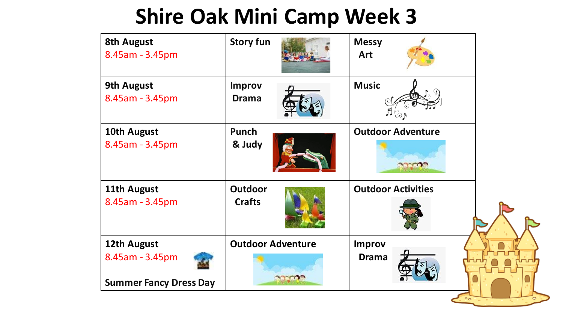| <b>8th August</b><br>8.45am - 3.45pm                            | <b>Story fun</b>                | <b>Messy</b><br><b>Art</b>    |  |
|-----------------------------------------------------------------|---------------------------------|-------------------------------|--|
| <b>9th August</b><br>8.45am - 3.45pm                            | <b>Improv</b><br><b>Drama</b>   | <b>Music</b>                  |  |
| 10th August<br>8.45am - 3.45pm                                  | <b>Punch</b><br>& Judy          | <b>Outdoor Adventure</b>      |  |
| 11th August<br>8.45am - 3.45pm                                  | <b>Outdoor</b><br><b>Crafts</b> | <b>Outdoor Activities</b>     |  |
| 12th August<br>8.45am - 3.45pm<br><b>Summer Fancy Dress Day</b> | <b>Outdoor Adventure</b>        | <b>Improv</b><br><b>Drama</b> |  |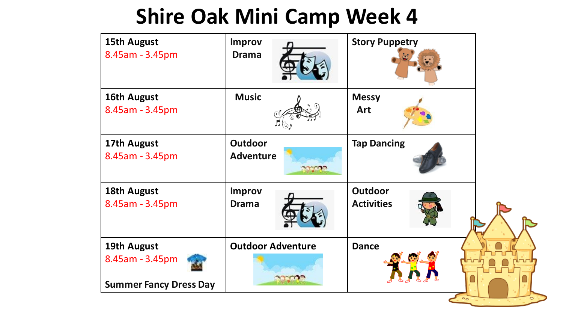| <b>15th August</b><br>8.45am - 3.45pm                           | <b>Improv</b><br><b>Drama</b>                | <b>Story Puppetry</b>               |  |
|-----------------------------------------------------------------|----------------------------------------------|-------------------------------------|--|
| 16th August<br>8.45am - 3.45pm                                  | <b>Music</b>                                 | <b>Messy</b><br><b>Art</b>          |  |
| 17th August<br>8.45am - 3.45pm                                  | <b>Outdoor</b><br><b>Adventure</b>           | <b>Tap Dancing</b>                  |  |
| 18th August<br>8.45am - 3.45pm                                  | <b>Improv</b><br><b>Drama</b>                | <b>Outdoor</b><br><b>Activities</b> |  |
| 19th August<br>8.45am - 3.45pm<br><b>Summer Fancy Dress Day</b> | <b>Outdoor Adventure</b><br><b>VACINE IN</b> | <b>Dance</b>                        |  |